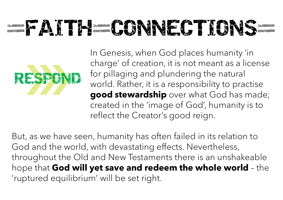## - FATTH-CONNECTIONS



In Genesis, when God places humanity 'in charge' of creation, it is not meant as a license for pillaging and plundering the natural world. Rather, it is a responsibility to practise good stewardship over what God has made; created in the 'image of God', humanity is to reflect the Creator's good reign.

But, as we have seen, humanity has often failed in its relation to God and the world, with devastating effects. Nevertheless, throughout the Old and New Testaments there is an unshakeable World. Rather, it is a responsibility to practise<br> **good stewardship** over what God has made;<br>
created in the 'image of God', humanity is to<br>
reflect the Creator's good reign.<br>
But, as we have seen, humanity has often fail 'ruptured equilibrium' will be set right.